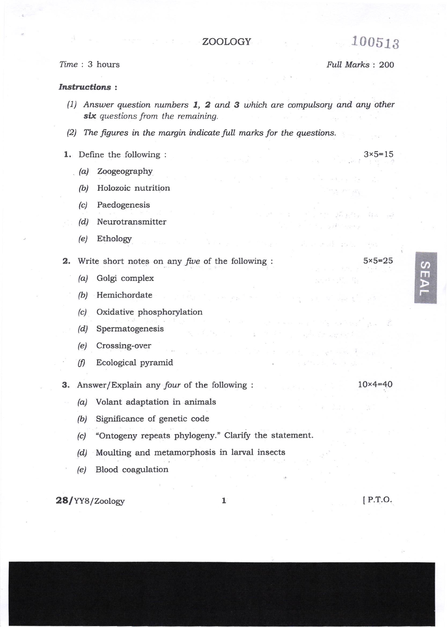## ZOOLOGY

## Time: 3 hours

## Full Marks: 200

## **Instructions:**

- (1) Answer question numbers  $1, 2$  and  $3$  which are compulsory and any other six questions from the remaining.
- $(2)$  The figures in the margin indicate full marks for the questions.
- 1. Define the following :
	- $(a)$  Zoogeography
		- Holozoic nutrition  $(b)$
	- Paedogenesis  $(c)$
	- Neurotransmitter  $(d)$
	- $(e)$ Ethology
- 2. Write short notes on any five of the following :
	- Golgi complex  $(a)$
	- Hemichordate  $(b)$
	- Oxidative phosphorylation  $(c)$
	- $(d)$ Spermatogenesis
	- $(e)$ Crossing-over
	- Ecological pyramid  $(f)$
- 3. Answer/Explain any four of the following :
	- (a) Volant adaptation in animals
		- Significance of genetic code  $(b)$
		- "Ontogeny repeats phylogeny." Clarify the statement.  $(c)$
		- Moulting and metamorphosis in larval insects  $(d)$
	- Blood coagulation  $(e)$

28/YY8/Zoology

 $[$  P.T.O.

匪

 $5 \times 5 = 25$ 

 $10 \times 4 = 40$ 

 $3 \times 5 = 15$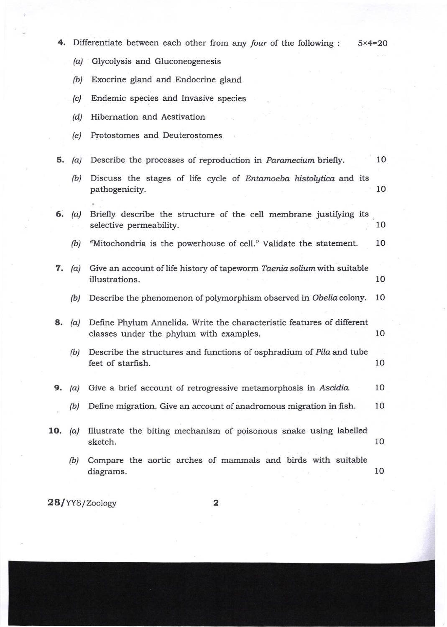| 4.  |               | Differentiate between each other from any four of the following :                                                 | $5 \times 4 = 20$ |
|-----|---------------|-------------------------------------------------------------------------------------------------------------------|-------------------|
|     | (a)           | Glycolysis and Gluconeogenesis                                                                                    |                   |
|     | (b)           | Exocrine gland and Endocrine gland                                                                                |                   |
|     | (c)           | Endemic species and Invasive species                                                                              |                   |
|     | (d)           | Hibernation and Aestivation                                                                                       |                   |
|     | (e)           | Protostomes and Deuterostomes                                                                                     |                   |
| 5.  | (a)           | Describe the processes of reproduction in Paramecium briefly.                                                     | 10                |
|     | (b)           | Discuss the stages of life cycle of Entamoeba histolytica and its<br>pathogenicity.                               | 10                |
|     | 6. $(a)$      | Briefly describe the structure of the cell membrane justifying its<br>selective permeability.                     | 10                |
|     | (b)           | "Mitochondria is the powerhouse of cell." Validate the statement.                                                 | 10                |
| 7.  | (a)           | Give an account of life history of tapeworm Taenia solium with suitable<br>illustrations.                         | 10                |
|     | (b)           | Describe the phenomenon of polymorphism observed in Obelia colony.                                                | 10                |
|     | <b>8.</b> (a) | Define Phylum Annelida. Write the characteristic features of different<br>classes under the phylum with examples. | 10                |
|     | (b)           | Describe the structures and functions of osphradium of Pila and tube<br>feet of starfish.                         | 10                |
| 9.  | (a)           | Give a brief account of retrogressive metamorphosis in Ascidia.                                                   | 10                |
|     | (b)           | Define migration. Give an account of anadromous migration in fish.                                                | 10                |
| 10. | (a)           | Illustrate the biting mechanism of poisonous snake using labelled<br>sketch.                                      | 10                |
|     | (b)           | Compare the aortic arches of mammals and birds with suitable<br>diagrams.                                         | 10                |
|     |               |                                                                                                                   |                   |

28/YY8/Zoology

2